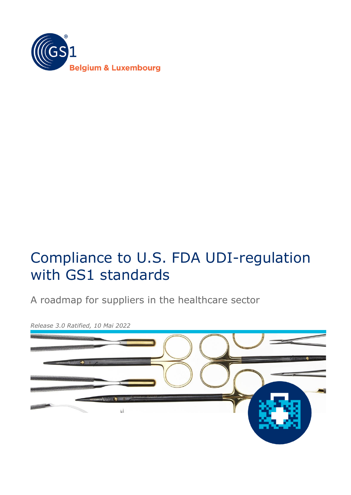

# Compliance to U.S. FDA UDI-regulation with GS1 standards

A roadmap for suppliers in the healthcare sector



*Release 3.0 Ratified, 10 Mai 2022*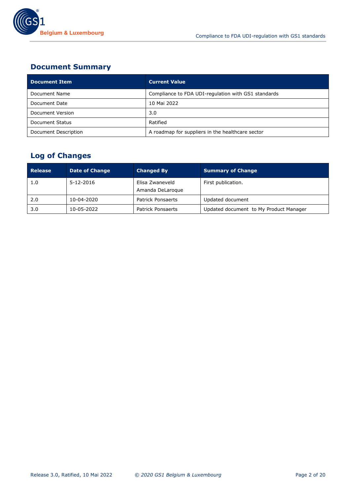

## **Document Summary**

| <b>Document Item</b> | <b>Current Value</b>                                |
|----------------------|-----------------------------------------------------|
| Document Name        | Compliance to FDA UDI-regulation with GS1 standards |
| Document Date        | 10 Mai 2022                                         |
| Document Version     | 3.0                                                 |
| Document Status      | Ratified                                            |
| Document Description | A roadmap for suppliers in the healthcare sector    |

# **Log of Changes**

| <b>Release</b> | <b>Date of Change</b> | <b>Changed By</b>                   | <b>Summary of Change</b>               |
|----------------|-----------------------|-------------------------------------|----------------------------------------|
| 1.0            | $5 - 12 - 2016$       | Elisa Zwaneveld<br>Amanda DeLaroque | First publication.                     |
| 2.0            | 10-04-2020            | <b>Patrick Ponsaerts</b>            | Updated document                       |
| 3.0            | 10-05-2022            | Patrick Ponsaerts                   | Updated document to My Product Manager |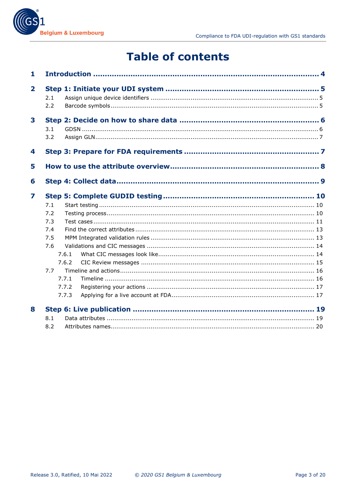

# **Table of contents**

| $\mathbf{1}$ |            |       |  |  |
|--------------|------------|-------|--|--|
| $\mathbf{2}$ | 2.1<br>2.2 |       |  |  |
| 3            | 3.1<br>3.2 |       |  |  |
| 4            |            |       |  |  |
| 5            |            |       |  |  |
| 6            |            |       |  |  |
| 7            |            |       |  |  |
|              | 7.1        |       |  |  |
|              | 7.2        |       |  |  |
|              | 7.3        |       |  |  |
|              | 7.4        |       |  |  |
|              | 7.5        |       |  |  |
|              | 7.6        |       |  |  |
|              |            | 7.6.1 |  |  |
|              |            | 7.6.2 |  |  |
|              | 7.7        |       |  |  |
|              |            | 7.7.1 |  |  |
|              |            | 7.7.2 |  |  |
|              |            | 7.7.3 |  |  |
| 8            |            |       |  |  |
|              | 8.1        |       |  |  |
|              | 8.2        |       |  |  |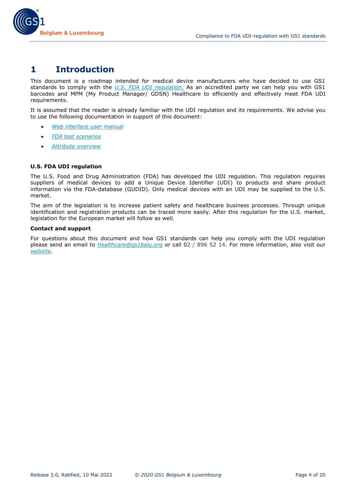

# <span id="page-3-0"></span>**1 Introduction**

This document is a roadmap intended for medical device manufacturers who have decided to use GS1 standards to comply with the *[U.S. FDA UDI regulation.](https://www.fda.gov/medical-devices/device-advice-comprehensive-regulatory-assistance/unique-device-identification-system-udi-system)* As an accredited party we can help you with GS1 barcodes and MPM (My Product Manager/ GDSN) Healthcare to efficiently and effectively meet FDA UDI requirements.

It is assumed that the reader is already familiar with the UDI regulation and its requirements. We advise you to use the following documentation in support of this document:

- *[Web interface user manual](https://www.gs1belu.org/en/documentation/manual-my-product-manager-interface)*
- *[FDA test scenarios](https://www.gs1belu.org/en/documentation/fda-udi-regulation-test-scenarios)*
- *[Attribute overview](https://www.gs1belu.org/en/update-echo-datamodel)*

#### **U.S. FDA UDI regulation**

The U.S. Food and Drug Administration (FDA) has developed the UDI regulation. This regulation requires suppliers of medical devices to add a Unique Device Identifier (UDI) to products and share product information via the FDA-database (GUDID). Only medical devices with an UDI may be supplied to the U.S. market.

The aim of the legislation is to increase patient safety and healthcare business processes. Through unique identification and registration products can be traced more easily. After this regulation for the U.S. market, legislation for the European market will follow as well.

#### **Contact and support**

For questions about this document and how GS1 standards can help you comply with the UDI regulation please send an email to *[Healthcare@gs1belu.org](mailto:Healthcare@gs1belu.org)* or call 02 / 896 52 14. For more information, also visit our *[website.](https://www.gs1belu.org/)*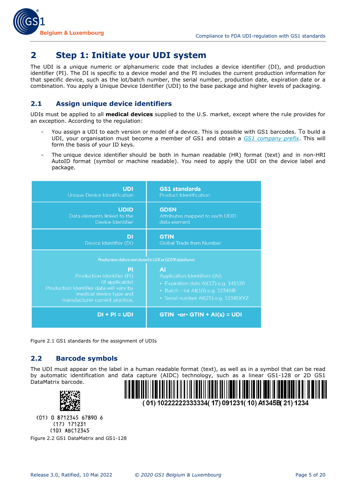

# <span id="page-4-0"></span>**2 Step 1: Initiate your UDI system**

The UDI is a unique numeric or alphanumeric code that includes a device identifier (DI), and production identifier (PI). The DI is specific to a device model and the PI includes the current production information for that specific device, such as the lot/batch number, the serial number, production date, expiration date or a combination. You apply a Unique Device Identifier (UDI) to the base package and higher levels of packaging.

## <span id="page-4-1"></span>**2.1 Assign unique device identifiers**

UDIs must be applied to all **medical devices** supplied to the U.S. market, except where the rule provides for an exception. According to the regulation:

- You assign a UDI to each version or model of a device. This is possible with GS1 barcodes. To build a UDI, your organisation must become a member of GS1 and obtain a *[GS1 company prefix](https://www.gs1belu.org/nl/extranet/login)*. This will form the basis of your ID keys.
- The unique device identifier should be both in human readable (HR) format (text) and in non-HRI AutoID format (symbol or machine readable). You need to apply the UDI on the device label and package.

| UDI                                                                                                                                                                                                                   | <b>GS1</b> standards                                                                                                                                                 |
|-----------------------------------------------------------------------------------------------------------------------------------------------------------------------------------------------------------------------|----------------------------------------------------------------------------------------------------------------------------------------------------------------------|
| <b>Unique Device Identification</b>                                                                                                                                                                                   | <b>Product Identification</b>                                                                                                                                        |
| <b>UDID</b>                                                                                                                                                                                                           | <b>GDSN</b>                                                                                                                                                          |
| Data elements linked to the                                                                                                                                                                                           | Attributes mapped to each UDID                                                                                                                                       |
| Device Identifier                                                                                                                                                                                                     | data element                                                                                                                                                         |
| DI                                                                                                                                                                                                                    | <b>GTIN</b>                                                                                                                                                          |
| Device Identifier (DI)                                                                                                                                                                                                | <b>Global Trade Item Number</b>                                                                                                                                      |
| Production data is not stored in UDI or GDSN databases<br>ΡI<br>Production Identifier (PI)<br>(if applicable)<br>Production Identifier data will vary by<br>medical device type and<br>manufacturer current practice. | <b>AI</b><br><b>Application Identifiers (AI)</b><br>• Expiration date AI(17) e.g. 141120<br>• Batch - lot Al(10) e.g. 1234AB<br>• Serial number AI(21) e.g. 12345XYZ |
| $DI + PI = UDI$                                                                                                                                                                                                       | $GTIN - or - GTIN + AI(s) = UDI$                                                                                                                                     |

Figure 2.1 GS1 standards for the assignment of UDIs

## <span id="page-4-2"></span>**2.2 Barcode symbols**

The UDI must appear on the label in a human readable format (text), as well as in a symbol that can be read by automatic identification and data capture (AIDC) technology, such as a linear GS1-128 or 2D GS1 DataMatrix barcode.



(01) 10222222333334(17) 091231(10) A1345B(21) 1234

(01) 0 8712345 67890 6  $(17)$  171231 (10) ABC12345 Figure 2.2 GS1 DataMatrix and GS1-128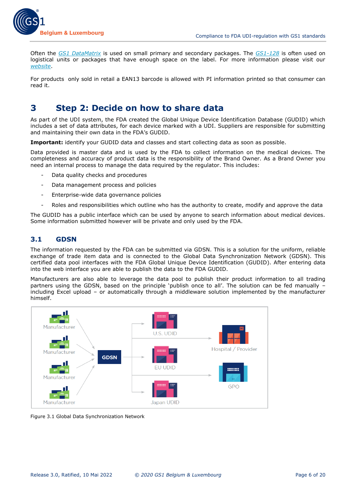

Often the *[GS1 DataMatrix](https://www.gs1belu.org/en/gs1-datamatrix)* is used on small primary and secondary packages. The *[GS1-128](https://www.gs1belu.org/en/gs1-128)* is often used on logistical units or packages that have enough space on the label. For more information please visit our *[website](https://www.gs1belu.org/en/our-standards-and-solutions#gegevensdragers)*.

<span id="page-5-0"></span>For products only sold in retail a EAN13 barcode is allowed with PI information printed so that consumer can read it.

# **3 Step 2: Decide on how to share data**

As part of the UDI system, the FDA created the Global Unique Device Identification Database (GUDID) which includes a set of data attributes, for each device marked with a UDI. Suppliers are responsible for submitting and maintaining their own data in the FDA's GUDID.

Important: identify your GUDID data and classes and start collecting data as soon as possible.

Data provided is master data and is used by the FDA to collect information on the medical devices. The completeness and accuracy of product data is the responsibility of the Brand Owner. As a Brand Owner you need an internal process to manage the data required by the regulator. This includes:

- Data quality checks and procedures
- Data management process and policies
- Enterprise-wide data governance policies
- Roles and responsibilities which outline who has the authority to create, modify and approve the data

The GUDID has a public interface which can be used by anyone to search information about medical devices. Some information submitted however will be private and only used by the FDA.

#### <span id="page-5-1"></span>**3.1 GDSN**

The information requested by the FDA can be submitted via GDSN. This is a solution for the uniform, reliable exchange of trade item data and is connected to the Global Data Synchronization Network (GDSN). This certified data pool interfaces with the FDA Global Unique Device Identification (GUDID). After entering data into the web interface you are able to publish the data to the FDA GUDID.

Manufacturers are also able to leverage the data pool to publish their product information to all trading partners using the GDSN, based on the principle 'publish once to all'. The solution can be fed manually – including Excel upload – or automatically through a middleware solution implemented by the manufacturer himself.



Figure 3.1 Global Data Synchronization Network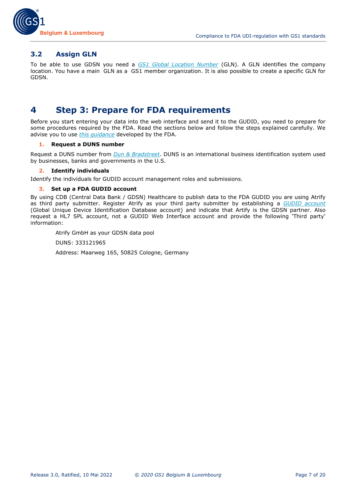

#### <span id="page-6-0"></span>**3.2 Assign GLN**

To be able to use GDSN you need a *[GS1 Global Location Number](https://www.gs1belu.org/nl/standaarden/gln)* (GLN). A GLN identifies the company location. You have a main GLN as a GS1 member organization. It is also possible to create a specific GLN for GDSN.

## <span id="page-6-1"></span>**4 Step 3: Prepare for FDA requirements**

Before you start entering your data into the web interface and send it to the GUDID, you need to prepare for some procedures required by the FDA. Read the sections below and follow the steps explained carefully. We advise you to use *[this guidance](http://www.fda.gov/downloads/MedicalDevices/DeviceRegulationandGuidance/GuidanceDocuments/UCM369248.pdf)* developed by the FDA.

#### **1. Request a DUNS number**

Request a DUNS number from *[Dun & Bradstreet](https://www.altares.be/en/our-data/duns-number/)*. DUNS is an international business identification system used by businesses, banks and governments in the U.S.

#### **2. Identify individuals**

Identify the individuals for GUDID account management roles and submissions.

#### **3. Set up a FDA GUDID account**

By using CDB (Central Data Bank / GDSN) Healthcare to publish data to the FDA GUDID you are using Atrify as third party submitter. Register Atrify as your third party submitter by establishing a *[GUDID account](http://www.fda.gov/MedicalDevices/DeviceRegulationandGuidance/UniqueDeviceIdentification/GlobalUDIDatabaseGUDID/ucm416113.htm)* (Global Unique Device Identification Database account) and indicate that Artify is the GDSN partner. Also request a HL7 SPL account, not a GUDID Web Interface account and provide the following 'Third party' information:

Atrify GmbH as your GDSN data pool

DUNS: 333121965

Address: Maarweg 165, 50825 Cologne, Germany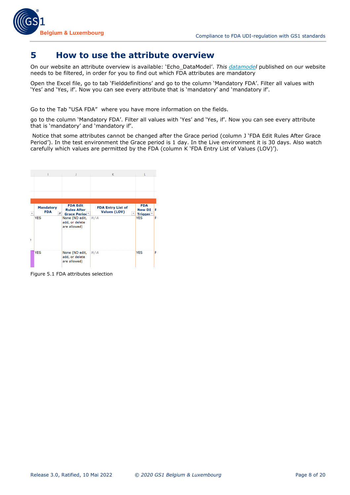

## <span id="page-7-0"></span>**5 How to use the attribute overview**

On our website an attribute overview is available: 'Echo\_DataModel'. *This [datamodel](https://www.gs1belu.org/en/update-echo-datamodel)* published on our website needs to be filtered, in order for you to find out which FDA attributes are mandatory

Open the Excel file, go to tab 'Fielddefinitions' and go to the column 'Mandatory FDA'. Filter all values with 'Yes' and 'Yes, if'. Now you can see every attribute that is 'mandatory' and 'mandatory if'.

Go to the Tab "USA FDA" where you have more information on the fields.

go to the column 'Mandatory FDA'. Filter all values with 'Yes' and 'Yes, if'. Now you can see every attribute that is 'mandatory' and 'mandatory if'.

Notice that some attributes cannot be changed after the Grace period (column J 'FDA Edit Rules After Grace Period'). In the test environment the Grace period is 1 day. In the Live environment it is 30 days. Also watch carefully which values are permitted by the FDA (column K 'FDA Entry List of Values (LOV)').



Figure 5.1 FDA attributes selection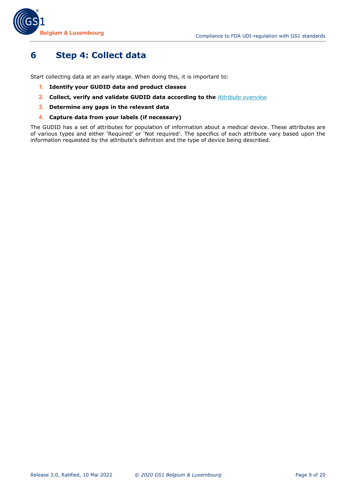

# <span id="page-8-0"></span>**6 Step 4: Collect data**

Start collecting data at an early stage. When doing this, it is important to:

- **1. Identify your GUDID data and product classes**
- **2. Collect, verify and validate GUDID data according to the** *[Attribute overview](https://www.gs1belu.org/en/update-echo-datamodel)*
- **3. Determine any gaps in the relevant data**
- **4. Capture data from your labels (if necessary)**

The GUDID has a set of attributes for population of information about a medical device. These attributes are of various types and either 'Required' or 'Not required'. The specifics of each attribute vary based upon the information requested by the attribute's definition and the type of device being described.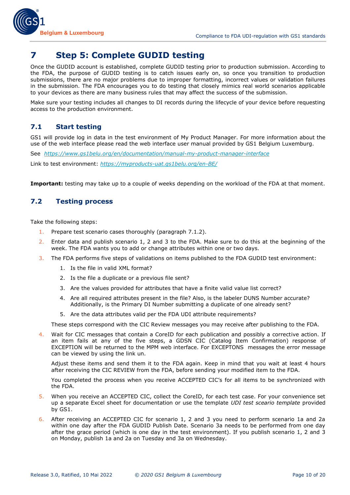

# <span id="page-9-0"></span>**7 Step 5: Complete GUDID testing**

Once the GUDID account is established, complete GUDID testing prior to production submission. According to the FDA, the purpose of GUDID testing is to catch issues early on, so once you transition to production submissions, there are no major problems due to improper formatting, incorrect values or validation failures in the submission. The FDA encourages you to do testing that closely mimics real world scenarios applicable to your devices as there are many business rules that may affect the success of the submission.

Make sure your testing includes all changes to DI records during the lifecycle of your device before requesting access to the production environment.

## <span id="page-9-1"></span>**7.1 Start testing**

GS1 will provide log in data in the test environment of My Product Manager. For more information about the use of the web interface please read the web interface user manual provided by GS1 Belgium Luxemburg.

See *<https://www.gs1belu.org/en/documentation/manual-my-product-manager-interface>*

Link to test environment: *<https://myproducts-uat.gs1belu.org/en-BE/>*

<span id="page-9-2"></span>**Important:** testing may take up to a couple of weeks depending on the workload of the FDA at that moment.

## **7.2 Testing process**

Take the following steps:

- 1. Prepare test scenario cases thoroughly (paragraph 7.1.2).
- 2. Enter data and publish scenario 1, 2 and 3 to the FDA. Make sure to do this at the beginning of the week. The FDA wants you to add or change attributes within one or two days.
- 3. The FDA performs five steps of validations on items published to the FDA GUDID test environment:
	- 1. Is the file in valid XML format?
	- 2. Is the file a duplicate or a previous file sent?
	- 3. Are the values provided for attributes that have a finite valid value list correct?
	- 4. Are all required attributes present in the file? Also, is the labeler DUNS Number accurate? Additionally, is the Primary DI Number submitting a duplicate of one already sent?
	- 5. Are the data attributes valid per the FDA UDI attribute requirements?

These steps correspond with the CIC Review messages you may receive after publishing to the FDA.

4. Wait for CIC messages that contain a CoreID for each publication and possibly a corrective action. If an item fails at any of the five steps, a GDSN CIC (Catalog Item Confirmation) response of EXCEPTION will be returned to the MPM web interface. For EXCEPTONS messages the error message can be viewed by using the link un.

Adjust these items and send them it to the FDA again. Keep in mind that you wait at least 4 hours after receiving the CIC REVIEW from the FDA, before sending your modified item to the FDA.

You completed the process when you receive ACCEPTED CIC's for all items to be synchronized with the FDA.

- 5. When you receive an ACCEPTED CIC, collect the CoreID, for each test case. For your convenience set up a separate Excel sheet for documentation or use the template *UDI test sceario template* provided by GS1.
- 6. After receiving an ACCEPTED CIC for scenario 1, 2 and 3 you need to perform scenario 1a and 2a within one day after the FDA GUDID Publish Date. Scenario 3a needs to be performed from one day after the grace period (which is one day in the test environment). If you publish scenario 1, 2 and 3 on Monday, publish 1a and 2a on Tuesday and 3a on Wednesday.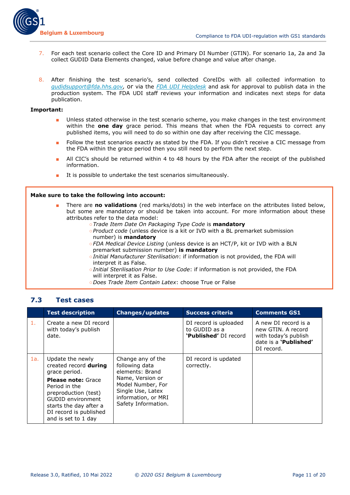

- 7. For each test scenario collect the Core ID and Primary DI Number (GTIN). For scenario 1a, 2a and 3a collect GUDID Data Elements changed, value before change and value after change.
- 8. After finishing the test scenario's, send collected CoreIDs with all collected information to *[gudidsupport@fda.hhs.gov,](mailto:gudidsupport@fda.hhs.gov)* or via the *[FDA UDI Helpdesk](http://www.fda.gov/MedicalDevices/DeviceRegulationandGuidance/UniqueDeviceIdentification/ucm368904.htm)* and ask for approval to publish data in the production system. The FDA UDI staff reviews your information and indicates next steps for data publication.

#### **Important:**

- Unless stated otherwise in the test scenario scheme, you make changes in the test environment within the **one day** grace period. This means that when the FDA requests to correct any published items, you will need to do so within one day after receiving the CIC message.
- Follow the test scenarios exactly as stated by the FDA. If you didn't receive a CIC message from the FDA within the grace period then you still need to perform the next step.
- All CIC's should be returned within 4 to 48 hours by the FDA after the receipt of the published information.
- It is possible to undertake the test scenarios simultaneously.

#### **Make sure to take the following into account:**

- There are **no validations** (red marks/dots) in the web interface on the attributes listed below, but some are mandatory or should be taken into account. For more information about these attributes refer to the data model:
	- ○*Trade Item Date On Packaging Type Code* is **mandatory**
	- ○*Product code* (unless device is a kit or IVD with a BL premarket submission number) is **mandatory**
	- ○*FDA Medical Device Listing* (unless device is an HCT/P, kit or IVD with a BLN premarket submission number) **is mandatory**
	- ○*Initial Manufacturer Sterilisation*: if information is not provided, the FDA will interpret it as False.
	- ○*Initial Sterilisation Prior to Use Code*: if information is not provided, the FDA will interpret it as False.
	- ○*Does Trade Item Contain Latex*: choose True or False

#### <span id="page-10-0"></span>**7.3 Test cases**

|                | <b>Test description</b>                                                                                                                                                   | <b>Changes/updates</b>                                                                                   | <b>Success criteria</b>                                                | <b>Comments GS1</b>                                                                                       |
|----------------|---------------------------------------------------------------------------------------------------------------------------------------------------------------------------|----------------------------------------------------------------------------------------------------------|------------------------------------------------------------------------|-----------------------------------------------------------------------------------------------------------|
| $\mathbf{1}$ . | Create a new DI record<br>with today's publish<br>date.                                                                                                                   |                                                                                                          | DI record is uploaded<br>to GUDID as a<br><b>'Published'</b> DI record | A new DI record is a<br>new GTIN. A record<br>with today's publish<br>date is a 'Published'<br>DI record. |
| 1a.            | Update the newly<br>created record during<br>grace period.                                                                                                                | Change any of the<br>following data<br>elements: Brand                                                   | DI record is updated<br>correctly.                                     |                                                                                                           |
|                | <b>Please note: Grace</b><br>Period in the<br>preproduction (test)<br><b>GUDID environment</b><br>starts the day after a<br>DI record is published<br>and is set to 1 day | Name, Version or<br>Model Number, For<br>Single Use, Latex<br>information, or MRI<br>Safety Information. |                                                                        |                                                                                                           |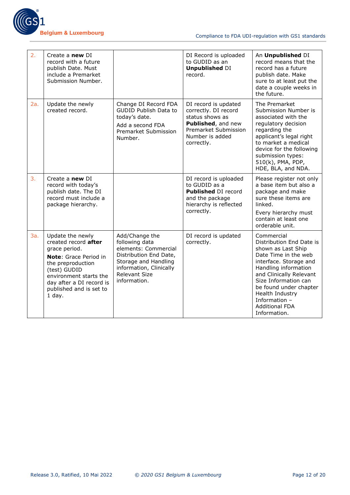

| 2.  | Create a new DI<br>record with a future<br>publish Date. Must<br>include a Premarket<br>Submission Number.                                                                                                           |                                                                                                                                                                               | DI Record is uploaded<br>to GUDID as an<br><b>Unpublished DI</b><br>record.                                                                    | An Unpublished DI<br>record means that the<br>record has a future<br>publish date. Make<br>sure to at least put the<br>date a couple weeks in<br>the future.                                                                                                                                     |
|-----|----------------------------------------------------------------------------------------------------------------------------------------------------------------------------------------------------------------------|-------------------------------------------------------------------------------------------------------------------------------------------------------------------------------|------------------------------------------------------------------------------------------------------------------------------------------------|--------------------------------------------------------------------------------------------------------------------------------------------------------------------------------------------------------------------------------------------------------------------------------------------------|
| 2a. | Update the newly<br>created record.                                                                                                                                                                                  | Change DI Record FDA<br><b>GUDID Publish Data to</b><br>today's date.<br>Add a second FDA<br>Premarket Submission<br>Number.                                                  | DI record is updated<br>correctly. DI record<br>status shows as<br>Published, and new<br>Premarket Submission<br>Number is added<br>correctly. | The Premarket<br>Submission Number is<br>associated with the<br>regulatory decision<br>regarding the<br>applicant's legal right<br>to market a medical<br>device for the following<br>submission types:<br>510(k), PMA, PDP,<br>HDE, BLA, and NDA.                                               |
| 3.  | Create a new DI<br>record with today's<br>publish date. The DI<br>record must include a<br>package hierarchy.                                                                                                        |                                                                                                                                                                               | DI record is uploaded<br>to GUDID as a<br>Published DI record<br>and the package<br>hierarchy is reflected<br>correctly.                       | Please register not only<br>a base item but also a<br>package and make<br>sure these items are<br>linked.<br>Every hierarchy must<br>contain at least one<br>orderable unit.                                                                                                                     |
| 3a. | Update the newly<br>created record after<br>grace period.<br>Note: Grace Period in<br>the preproduction<br>(test) GUDID<br>environment starts the<br>day after a DI record is<br>published and is set to<br>$1$ day. | Add/Change the<br>following data<br>elements: Commercial<br>Distribution End Date,<br>Storage and Handling<br>information, Clinically<br><b>Relevant Size</b><br>information. | DI record is updated<br>correctly.                                                                                                             | Commercial<br>Distribution End Date is<br>shown as Last Ship<br>Date Time in the web<br>interface. Storage and<br>Handling information<br>and Clinically Relevant<br>Size Information can<br>be found under chapter<br>Health Industry<br>Information -<br><b>Additional FDA</b><br>Information. |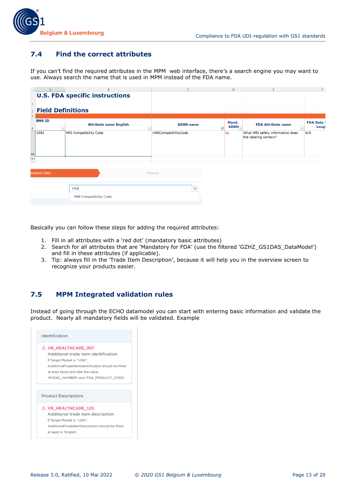## <span id="page-12-0"></span>**7.4 Find the correct attributes**

If you can't find the required attributes in the MPM web interface, there's a search engine you may want to use. Always search the name that is used in MPM instead of the FDA name.

|                     |                     | P                                     | $\epsilon$                                   | D                          | E.                                                        | F                          |
|---------------------|---------------------|---------------------------------------|----------------------------------------------|----------------------------|-----------------------------------------------------------|----------------------------|
|                     |                     | <b>U.S. FDA specific instructions</b> |                                              |                            |                                                           |                            |
|                     | 2 Field Definitions |                                       |                                              |                            |                                                           |                            |
| 3<br>$\overline{4}$ | <b>BMS ID</b>       | <b>Attribute name English</b>         | <b>GDSN</b> name<br>$\overline{\mathcal{F}}$ | Mand.<br>GDSN <sub>-</sub> | <b>FDA Attribute name</b>                                 | <b>FDA Data 1</b><br>Lengt |
|                     | 1581                | MRI Compatibility Code                | mRICompatibilityCode                         | <b>No</b>                  | What MRI safety information does<br>the labeling contain? | N/A                        |
| 38<br>251<br>$-1$   |                     |                                       |                                              |                            |                                                           |                            |
|                     | product data        |                                       | Release                                      |                            |                                                           |                            |
|                     |                     | MRI                                   | $\checkmark$                                 |                            |                                                           |                            |
|                     |                     | <b>MRI Compatibility Code</b>         |                                              |                            |                                                           |                            |

Basically you can follow these steps for adding the required attributes:

- 1. Fill in all attributes with a 'red dot' (mandatory basic attributes)
- 2. Search for all attributes that are 'Mandatory for FDA' (use the filtered 'GZHZ\_GS1DAS\_DataModel') and fill in these attributes (if applicable).
- 3. Tip: always fill in the 'Trade Item Description', because it will help you in the overview screen to recognize your products easier.

## <span id="page-12-1"></span>**7.5 MPM Integrated validation rules**

Instead of going through the ECHO datamodel you can start with entering basic information and validate the product. Nearly all mandatory fields will be validated. Example

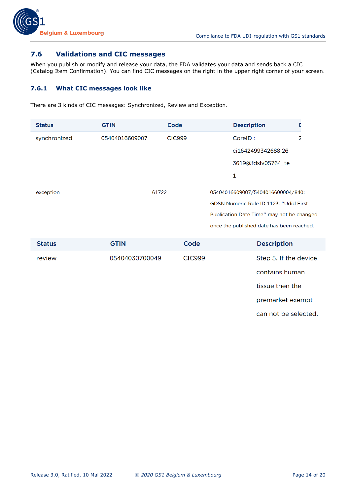

## <span id="page-13-0"></span>**7.6 Validations and CIC messages**

When you publish or modify and release your data, the FDA validates your data and sends back a CIC (Catalog Item Confirmation). You can find CIC messages on the right in the upper right corner of your screen.

#### <span id="page-13-1"></span>**7.6.1 What CIC messages look like**

There are 3 kinds of CIC messages: Synchronized, Review and Exception.

| <b>Status</b> | <b>GTIN</b>    | Code                                   |  | <b>Description</b>                        |   |
|---------------|----------------|----------------------------------------|--|-------------------------------------------|---|
| synchronized  | 05404016609007 | <b>CIC999</b>                          |  | CorelD:                                   | 2 |
|               |                |                                        |  | ci1642499342688.26                        |   |
|               |                |                                        |  | 3619@fdslv05764_te                        |   |
|               |                |                                        |  | 1                                         |   |
| exception     | 61722          |                                        |  | 05404016609007/5404016600004/840:         |   |
|               |                | GDSN Numeric Rule ID 1123: "Udid First |  |                                           |   |
|               |                |                                        |  | Publication Date Time" may not be changed |   |
|               |                |                                        |  | once the published date has been reached. |   |

| Step 5. If the device |
|-----------------------|
| contains human        |
| tissue then the       |
| premarket exempt      |
| can not be selected.  |
|                       |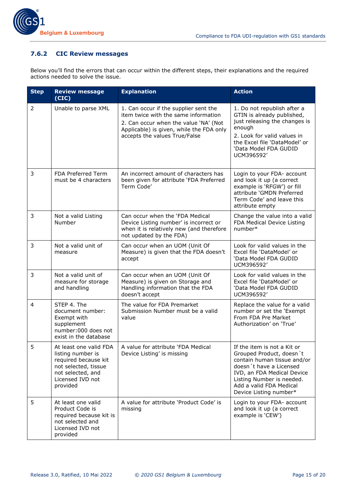#### <span id="page-14-0"></span>**7.6.2 CIC Review messages**

Below you'll find the errors that can occur within the different steps, their explanations and the required actions needed to solve the issue.

| <b>Step</b> | <b>Review message</b><br>(CIC)                                                                                                                   | <b>Explanation</b>                                                                                                                                                                                  | <b>Action</b>                                                                                                                                                                                                                     |
|-------------|--------------------------------------------------------------------------------------------------------------------------------------------------|-----------------------------------------------------------------------------------------------------------------------------------------------------------------------------------------------------|-----------------------------------------------------------------------------------------------------------------------------------------------------------------------------------------------------------------------------------|
| 2           | Unable to parse XML                                                                                                                              | 1. Can occur if the supplier sent the<br>item twice with the same information<br>2. Can occur when the value 'NA' (Not<br>Applicable) is given, while the FDA only<br>accepts the values True/False | 1. Do not republish after a<br>GTIN is already published,<br>just releasing the changes is<br>enough<br>2. Look for valid values in<br>the Excel file 'DataModel' or<br>'Data Model FDA GUDID<br>UCM396592'                       |
| 3           | FDA Preferred Term<br>must be 4 characters                                                                                                       | An incorrect amount of characters has<br>been given for attribute 'FDA Preferred<br>Term Code'                                                                                                      | Login to your FDA- account<br>and look it up (a correct<br>example is 'RFGW') or fill<br>attribute 'GMDN Preferred<br>Term Code' and leave this<br>attribute empty                                                                |
| 3           | Not a valid Listing<br>Number                                                                                                                    | Can occur when the 'FDA Medical<br>Device Listing number' is incorrect or<br>when it is relatively new (and therefore<br>not updated by the FDA)                                                    | Change the value into a valid<br>FDA Medical Device Listing<br>number*                                                                                                                                                            |
| 3           | Not a valid unit of<br>measure                                                                                                                   | Can occur when an UOM (Unit Of<br>Measure) is given that the FDA doesn't<br>accept                                                                                                                  | Look for valid values in the<br>Excel file 'DataModel' or<br>'Data Model FDA GUDID<br>UCM396592'                                                                                                                                  |
| 3           | Not a valid unit of<br>measure for storage<br>and handling                                                                                       | Can occur when an UOM (Unit Of<br>Measure) is given on Storage and<br>Handling information that the FDA<br>doesn't accept                                                                           | Look for valid values in the<br>Excel file 'DataModel' or<br>'Data Model FDA GUDID<br>UCM396592'                                                                                                                                  |
| 4           | STEP 4. The<br>document number:<br>Exempt with<br>supplement<br>number:000 does not<br>exist in the database                                     | The value for FDA Premarket<br>Submission Number must be a valid<br>value                                                                                                                           | Replace the value for a valid<br>number or set the 'Exempt<br>From FDA Pre Market<br>Authorization' on 'True'                                                                                                                     |
| 5           | At least one valid FDA<br>listing number is<br>required because kit<br>not selected, tissue<br>not selected, and<br>Licensed IVD not<br>provided | A value for attribute 'FDA Medical<br>Device Listing' is missing                                                                                                                                    | If the item is not a Kit or<br>Grouped Product, doesn't<br>contain human tissue and/or<br>doesn't have a Licensed<br>IVD, an FDA Medical Device<br>Listing Number is needed.<br>Add a valid FDA Medical<br>Device Listing number* |
| 5           | At least one valid<br>Product Code is<br>required because kit is<br>not selected and<br>Licensed IVD not<br>provided                             | A value for attribute 'Product Code' is<br>missing                                                                                                                                                  | Login to your FDA- account<br>and look it up (a correct<br>example is 'CEW')                                                                                                                                                      |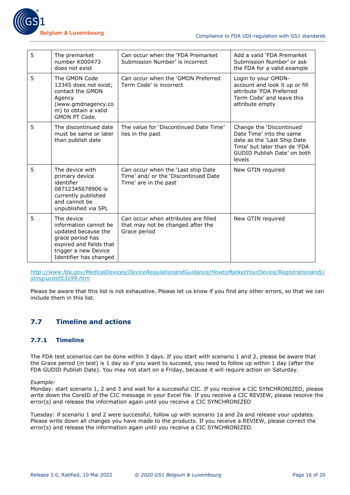

| 5 | The premarket<br>number K000473<br>does not exist                                                                                                           | Can occur when the 'FDA Premarket<br>Submission Number' is incorrect                                | Add a valid 'FDA Premarket<br>Submission Number' or ask<br>the FDA for a valid example                                                                       |
|---|-------------------------------------------------------------------------------------------------------------------------------------------------------------|-----------------------------------------------------------------------------------------------------|--------------------------------------------------------------------------------------------------------------------------------------------------------------|
| 5 | The GMDN Code<br>12345 does not exist;<br>contact the GMDN<br>Agency<br>(www.gmdnagency.co<br>m) to obtain a valid<br><b>GMDN PT Code.</b>                  | Can occur when the 'GMDN Preferred<br>Term Code' is incorrect                                       | Login to your GMDN-<br>account and look it up or fill<br>attribute 'FDA Preferred<br>Term Code' and leave this<br>attribute empty                            |
| 5 | The discontinued date<br>must be same or later<br>than publish date                                                                                         | The value for 'Discontinued Date Time'<br>lies in the past                                          | Change the 'Discontinued<br>Date Time' into the same<br>date as the 'Last Ship Date<br>Time' but later than de 'FDA<br>GUDID Publish Date' on both<br>levels |
| 5 | The device with<br>primary device<br>identifier<br>08712345678906 is<br>currently published<br>and cannot be<br>unpublished via SPL                         | Can occur when the 'Last ship Date<br>Time' and/ or the 'Discontinued Date<br>Time' are in the past | New GTIN required                                                                                                                                            |
| 5 | The device<br>information cannot be<br>updated because the<br>grace period has<br>expired and fields that<br>trigger a new Device<br>Identifier has changed | Can occur when attributes are filled<br>that may not be changed after the<br>Grace period           | New GTIN required                                                                                                                                            |

*[http://www.fda.gov/MedicalDevices/DeviceRegulationandGuidance/HowtoMarketYourDevice/RegistrationandLi](http://www.fda.gov/MedicalDevices/DeviceRegulationandGuidance/HowtoMarketYourDevice/RegistrationandListing/ucm053199.htm) [sting/ucm053199.htm](http://www.fda.gov/MedicalDevices/DeviceRegulationandGuidance/HowtoMarketYourDevice/RegistrationandListing/ucm053199.htm)*

Please be aware that this list is not exhaustive. Please let us know if you find any other errors, so that we can include them in this list.

## <span id="page-15-0"></span>**7.7 Timeline and actions**

#### <span id="page-15-1"></span>**7.7.1 Timeline**

The FDA test scenarios can be done within 3 days. If you start with scenario 1 and 2, please be aware that the Grace period (in test) is 1 day so if you want to succeed, you need to follow up within 1 day (after the FDA GUDID Publish Date). You may not start on a Friday, because it will require action on Saturday.

*Example:* 

Monday: start scenario 1, 2 and 3 and wait for a successful CIC. If you receive a CIC SYNCHRONIZED, please write down the CoreID of the CIC message in your Excel file. If you receive a CIC REVIEW, please resolve the error(s) and release the information again until you receive a CIC SYNCHRONIZED

Tuesday: if scenario 1 and 2 were successful, follow up with scenario 1a and 2a and release your updates. Please write down all changes you have made to the products. If you receive a REVIEW, please correct the error(s) and release the information again until you receive a CIC SYNCHRONIZED.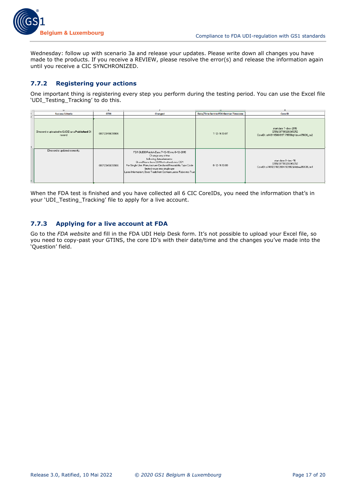

Wednesday: follow up with scenario 3a and release your updates. Please write down all changes you have made to the products. If you receive a REVIEW, please resolve the error(s) and release the information again until you receive a CIC SYNCHRONIZED.

#### <span id="page-16-0"></span>**7.7.2 Registering your actions**

One important thing is registering every step you perform during the testing period. You can use the Excel file 'UDI Testing Tracking' to do this.

|   | u.                                                        |                |                                                                                                                                                                                                                                                                                                                  | п.                                    | D.                                                                                           |
|---|-----------------------------------------------------------|----------------|------------------------------------------------------------------------------------------------------------------------------------------------------------------------------------------------------------------------------------------------------------------------------------------------------------------|---------------------------------------|----------------------------------------------------------------------------------------------|
|   | <b>Success Criteria</b>                                   | <b>GTIN</b>    | <b>Changed</b>                                                                                                                                                                                                                                                                                                   | Date/Time Sent to FDA German Timezone | <b>Core ID</b>                                                                               |
|   |                                                           |                |                                                                                                                                                                                                                                                                                                                  |                                       |                                                                                              |
| ż | Direcord is uploaded to GUDID as a Published Di<br>record | 08712345678906 |                                                                                                                                                                                                                                                                                                                  | 7-12-16 13:07                         | start date 7-dec-2016<br>GTIN:08719326045252<br>CorelD: ci1481115061997.79558@fdsuv05636_te2 |
|   | DI record is updated correctly.                           | 08712345678906 | FDA GUDID Publish Date: 7-12-16 into 8-12-2016<br>Change any of the<br>following data elements:<br>Brand Name from GS1 Netherlands into GS1<br>For Single Use; Manufacturer Declared Reusability Type Code<br>limited reuse into single use<br>Latex Information: Does Trade Item Contain Latex: False into True | 8-12-16 13:00                         | start date 8-dec-16<br>GTIN:08719326045252<br>CorelD:ci1481201022004.53982@fdsuv05638_te1    |

When the FDA test is finished and you have collected all 6 CIC CoreIDs, you need the information that's in your 'UDI\_Testing\_Tracking' file to apply for a live account.

#### <span id="page-16-1"></span>**7.7.3 Applying for a live account at FDA**

Go to the *FDA website* and fill in the FDA UDI Help Desk form. It's not possible to upload your Excel file, so you need to copy-past your GTINS, the core ID's with their date/time and the changes you've made into the 'Question' field.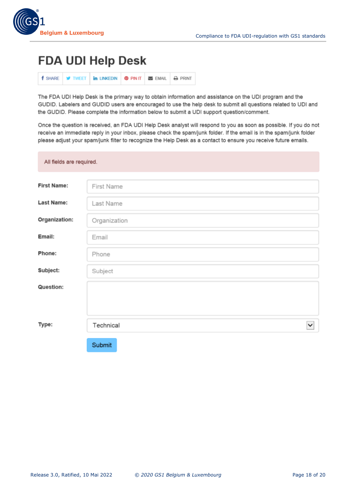

# **FDA UDI Help Desk**

|  |  | <b>f</b> SHARE <b>y</b> TWEET <b>in LINKEDIN @ PINIT E</b> EMAIL <b>A</b> PRINT |  |  |  |
|--|--|---------------------------------------------------------------------------------|--|--|--|
|--|--|---------------------------------------------------------------------------------|--|--|--|

The FDA UDI Help Desk is the primary way to obtain information and assistance on the UDI program and the GUDID. Labelers and GUDID users are encouraged to use the help desk to submit all questions related to UDI and the GUDID. Please complete the information below to submit a UDI support question/comment.

Once the question is received, an FDA UDI Help Desk analyst will respond to you as soon as possible. If you do not receive an immediate reply in your inbox, please check the spam/junk folder. If the email is in the spam/junk folder please adjust your spam/junk filter to recognize the Help Desk as a contact to ensure you receive future emails.

| All fields are required. |                           |  |  |  |  |  |
|--------------------------|---------------------------|--|--|--|--|--|
| <b>First Name:</b>       | First Name                |  |  |  |  |  |
| <b>Last Name:</b>        | Last Name                 |  |  |  |  |  |
| Organization:            | Organization              |  |  |  |  |  |
| Email:                   | Email                     |  |  |  |  |  |
| Phone:                   | Phone                     |  |  |  |  |  |
| Subject:                 | Subject                   |  |  |  |  |  |
| Question:                |                           |  |  |  |  |  |
|                          |                           |  |  |  |  |  |
| Type:                    | Technical<br>$\checkmark$ |  |  |  |  |  |
|                          | Submit                    |  |  |  |  |  |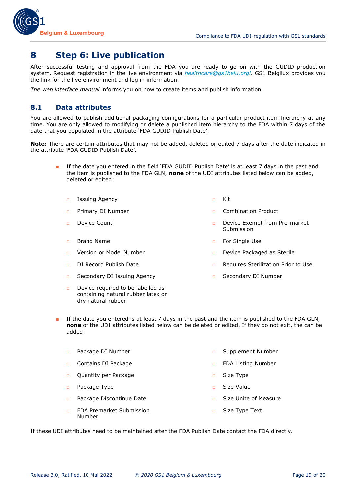

# <span id="page-18-0"></span>**8 Step 6: Live publication**

After successful testing and approval from the FDA you are ready to go on with the GUDID production system. Request registration in the live environment via *[healthcare@gs1belu.orgl](mailto:healthcare@gs1belu.orgl)*. GS1 Belgilux provides you the link for the live environment and log in information.

<span id="page-18-1"></span>*The web interface manual* informs you on how to create items and publish information.

#### **8.1 Data attributes**

You are allowed to publish additional packaging configurations for a particular product item hierarchy at any time. You are only allowed to modifying or delete a published item hierarchy to the FDA within 7 days of the date that you populated in the attribute 'FDA GUDID Publish Date'.

**Note:** There are certain attributes that may not be added, deleted or edited 7 days after the date indicated in the attribute 'FDA GUDID Publish Date'.

- If the date you entered in the field 'FDA GUDID Publish Date' is at least 7 days in the past and the item is published to the FDA GLN, **none** of the UDI attributes listed below can be added, deleted or edited:
	- □ Issuing Agency □ Nit
	-
	-
	-
	-
	-
	- □ Secondary DI Issuing Agency □ □ Secondary DI Number
	- $\Box$  Device required to be labelled as containing natural rubber latex or dry natural rubber
- 
- □ Primary DI Number □ □ □ □ Combination Product
- □ Device Count □ Device Exempt from Pre-market Submission
- □ Brand Name □ For Single Use
- □ Version or Model Number □ □ □ Device Packaged as Sterile
- □ DI Record Publish Date □ Requires Sterilization Prior to Use
	-
- If the date you entered is at least 7 days in the past and the item is published to the FDA GLN, **none** of the UDI attributes listed below can be deleted or edited. If they do not exit, the can be added:
	- □ Package DI Number □ □ □ □ □ Supplement Number
	- □ Contains DI Package □ FDA Listing Number
	- □ Quantity per Package □ □ Size Type
	- □ Package Type □ Size Value
	- □ Package Discontinue Date □ □ Size Unite of Measure
	- □ FDA Premarket Submission Number
- 
- 
- 
- 
- 
- □ Size Type Text

If these UDI attributes need to be maintained after the FDA Publish Date contact the FDA directly.